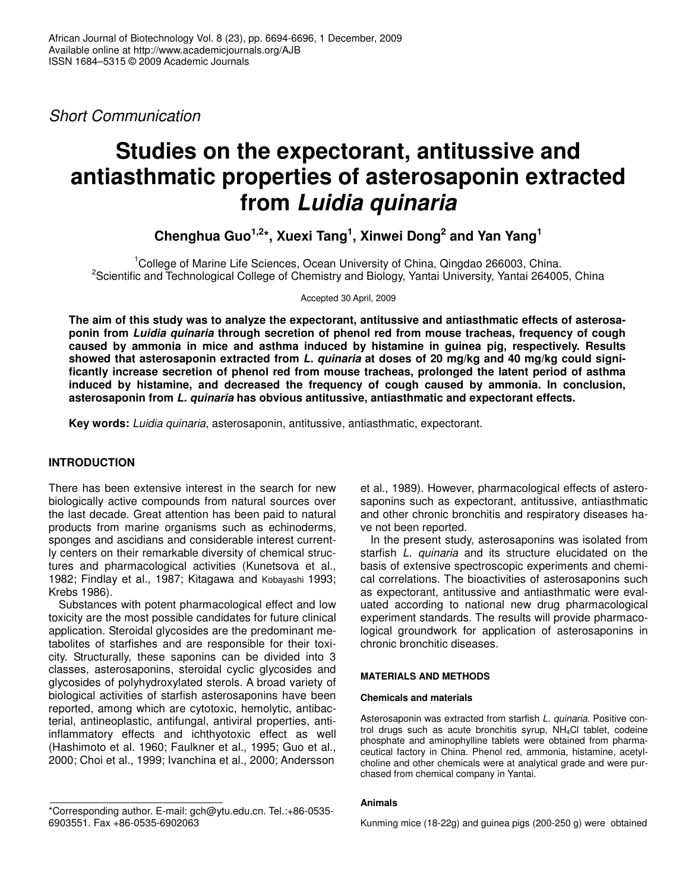*Short Communication*

# **Studies on the expectorant, antitussive and antiasthmatic properties of asterosaponin extracted from** *Luidia quinaria*

**Chenghua Guo 1,2 \*, Xuexi Tang 1 , Xinwei Dong 2 and Yan Yang 1**

<sup>1</sup>College of Marine Life Sciences, Ocean University of China, Qingdao 266003, China. <sup>2</sup>Scientific and Technological College of Chemistry and Biology, Yantai University, Yantai 264005, China

Accepted 30 April, 2009

**The aim of this study was to analyze the expectorant, antitussive and antiasthmatic effects of asterosaponin from** *Luidia quinaria* **through secretion of phenol red from mouse tracheas, frequency of cough caused by ammonia in mice and asthma induced by histamine in guinea pig, respectively. Results showed that asterosaponin extracted from** *L. quinaria* **at doses of 20 mg/kg and 40 mg/kg could significantly increase secretion of phenol red from mouse tracheas, prolonged the latent period of asthma induced by histamine, and decreased the frequency of cough caused by ammonia. In conclusion, asterosaponin from** *L. quinaria* **has obvious antitussive, antiasthmatic and expectorant effects.**

**Key words:** *Luidia quinaria*, asterosaponin, antitussive, antiasthmatic, expectorant.

# **INTRODUCTION**

There has been extensive interest in the search for new biologically active compounds from natural sources over the last decade. Great attention has been paid to natural products from marine organisms such as echinoderms, sponges and ascidians and considerable interest currently centers on their remarkable diversity of chemical structures and pharmacological activities (Kunetsova et al., 1982; Findlay et al., 1987; Kitagawa and Kobayashi 1993; Krebs 1986).

Substances with potent pharmacological effect and low toxicity are the most possible candidates for future clinical application. Steroidal glycosides are the predominant metabolites of starfishes and are responsible for their toxicity. Structurally, these saponins can be divided into 3 classes, asterosaponins, steroidal cyclic glycosides and glycosides of polyhydroxylated sterols. A broad variety of biological activities of starfish asterosaponins have been reported, among which are cytotoxic, hemolytic, antibacterial, antineoplastic, antifungal, antiviral properties, antiinflammatory effects and ichthyotoxic effect as well (Hashimoto et al. 1960; Faulkner et al., 1995; Guo et al., 2000; Choi et al., 1999; Ivanchina et al., 2000; Andersson

et al., 1989). However, pharmacological effects of asterosaponins such as expectorant, antitussive, antiasthmatic and other chronic bronchitis and respiratory diseases have not been reported.

In the present study, asterosaponins was isolated from starfish *L. quinaria* and its structure elucidated on the basis of extensive spectroscopic experiments and chemical correlations. The bioactivities of asterosaponins such as expectorant, antitussive and antiasthmatic were evaluated according to national new drug pharmacological experiment standards. The results will provide pharmacological groundwork for application of asterosaponins in chronic bronchitic diseases.

## **MATERIALS AND METHODS**

## **Chemicals and materials**

Asterosaponin was extracted from starfish *L. quinaria*. Positive control drugs such as acute bronchitis syrup, NH4Cl tablet, codeine phosphate and aminophylline tablets were obtained from pharmaceutical factory in China. Phenol red, ammonia, histamine, acetylcholine and other chemicals were at analytical grade and were purchased from chemical company in Yantai.

## **Animals**

<sup>\*</sup>Corresponding author. E-mail: gch@ytu.edu.cn. Tel.:+86-0535- 6903551. Fax +86-0535-6902063

Kunming mice (18-22g) and guinea pigs (200-250 g) were obtained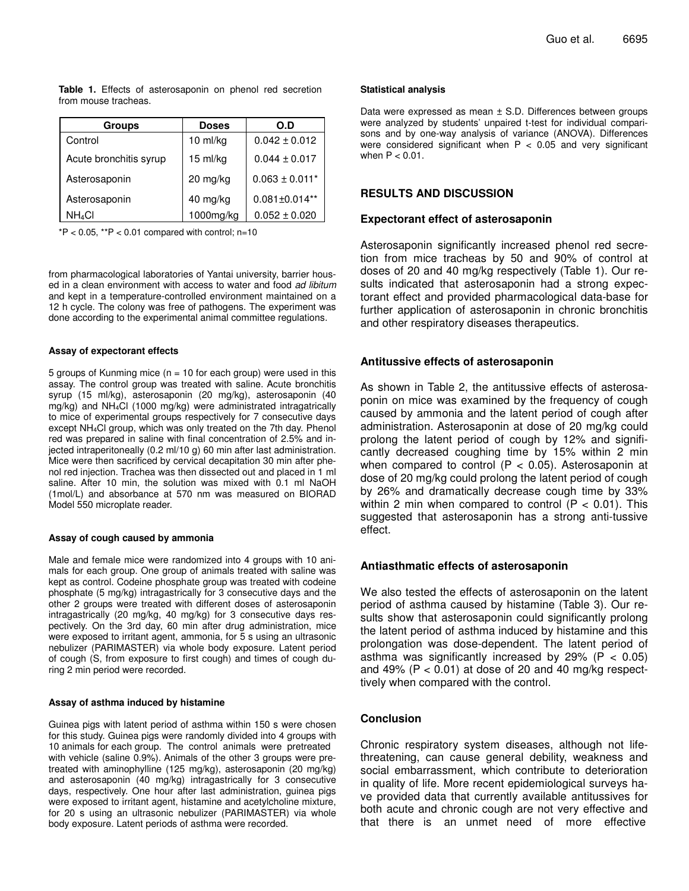**Table 1.** Effects of asterosaponin on phenol red secretion from mouse tracheas.

| <b>Groups</b>             | <b>Doses</b> | O.D                 |
|---------------------------|--------------|---------------------|
| Control                   | $10$ ml/kg   | $0.042 \pm 0.012$   |
| Acute bronchitis syrup    | 15 ml/kg     | $0.044 + 0.017$     |
| Asterosaponin             | 20 mg/kg     | $0.063 \pm 0.011$ * |
| Asterosaponin             | 40 mg/kg     | $0.081 \pm 0.014**$ |
| <b>NH</b> <sub>4</sub> CI | 1000mg/kg    | $0.052 \pm 0.020$   |

 $*P < 0.05$ ,  $*P < 0.01$  compared with control; n=10

from pharmacological laboratories of Yantai university, barrier housed in a clean environment with access to water and food *ad libitum* and kept in a temperature-controlled environment maintained on a 12 h cycle. The colony was free of pathogens. The experiment was done according to the experimental animal committee regulations.

#### **Assay of expectorant effects**

5 groups of Kunming mice ( $n = 10$  for each group) were used in this assay. The control group was treated with saline. Acute bronchitis syrup (15 ml/kg), asterosaponin (20 mg/kg), asterosaponin (40 mg/kg) and NH4Cl (1000 mg/kg) were administrated intragatrically to mice of experimental groups respectively for 7 consecutive days except NH4Cl group, which was only treated on the 7th day. Phenol red was prepared in saline with final concentration of 2.5% and injected intraperitoneally (0.2 ml/10 g) 60 min after last administration. Mice were then sacrificed by cervical decapitation 30 min after phenol red injection. Trachea was then dissected out and placed in 1 ml saline. After 10 min, the solution was mixed with 0.1 ml NaOH (1mol/L) and absorbance at 570 nm was measured on BIORAD Model 550 microplate reader.

#### **Assay of cough caused by ammonia**

Male and female mice were randomized into 4 groups with 10 animals for each group. One group of animals treated with saline was kept as control. Codeine phosphate group was treated with codeine phosphate (5 mg/kg) intragastrically for 3 consecutive days and the other 2 groups were treated with different doses of asterosaponin intragastrically (20 mg/kg, 40 mg/kg) for 3 consecutive days respectively. On the 3rd day, 60 min after drug administration, mice were exposed to irritant agent, ammonia, for 5 s using an ultrasonic nebulizer (PARIMASTER) via whole body exposure. Latent period of cough (S, from exposure to first cough) and times of cough during 2 min period were recorded.

#### **Assay of asthma induced by histamine**

Guinea pigs with latent period of asthma within 150 s were chosen for this study. Guinea pigs were randomly divided into 4 groups with 10 animals for each group. The control animals were pretreated with vehicle (saline 0.9%). Animals of the other 3 groups were pretreated with aminophylline (125 mg/kg), asterosaponin (20 mg/kg) and asterosaponin (40 mg/kg) intragastrically for 3 consecutive days, respectively. One hour after last administration, guinea pigs were exposed to irritant agent, histamine and acetylcholine mixture, for 20 s using an ultrasonic nebulizer (PARIMASTER) via whole body exposure. Latent periods of asthma were recorded.

#### **Statistical analysis**

Data were expressed as mean ± S.D. Differences between groups were analyzed by students' unpaired t-test for individual comparisons and by one-way analysis of variance (ANOVA). Differences were considered significant when  $P < 0.05$  and very significant when  $P < 0.01$ .

## **RESULTS AND DISCUSSION**

#### **Expectorant effect of asterosaponin**

Asterosaponin significantly increased phenol red secretion from mice tracheas by 50 and 90% of control at doses of 20 and 40 mg/kg respectively (Table 1). Our results indicated that asterosaponin had a strong expectorant effect and provided pharmacological data-base for further application of asterosaponin in chronic bronchitis and other respiratory diseases therapeutics.

### **Antitussive effects of asterosaponin**

As shown in Table 2, the antitussive effects of asterosaponin on mice was examined by the frequency of cough caused by ammonia and the latent period of cough after administration. Asterosaponin at dose of 20 mg/kg could prolong the latent period of cough by 12% and significantly decreased coughing time by 15% within 2 min when compared to control  $(P < 0.05)$ . Asterosaponin at dose of 20 mg/kg could prolong the latent period of cough by 26% and dramatically decrease cough time by 33% within 2 min when compared to control  $(P < 0.01)$ . This suggested that asterosaponin has a strong anti-tussive effect.

## **Antiasthmatic effects of asterosaponin**

We also tested the effects of asterosaponin on the latent period of asthma caused by histamine (Table 3). Our results show that asterosaponin could significantly prolong the latent period of asthma induced by histamine and this prolongation was dose-dependent. The latent period of asthma was significantly increased by 29% ( $P < 0.05$ ) and 49% ( $P < 0.01$ ) at dose of 20 and 40 mg/kg respecttively when compared with the control.

## **Conclusion**

Chronic respiratory system diseases, although not lifethreatening, can cause general debility, weakness and social embarrassment, which contribute to deterioration in quality of life. More recent epidemiological surveys have provided data that currently available antitussives for both acute and chronic cough are not very effective and that there is an unmet need of more effective